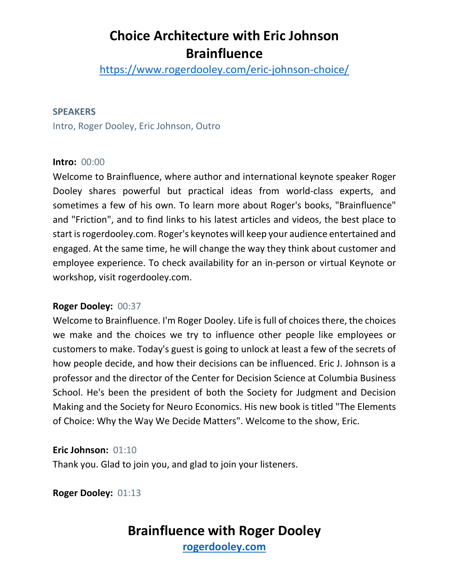<https://www.rogerdooley.com/eric-johnson-choice/>

#### **SPEAKERS**

Intro, Roger Dooley, Eric Johnson, Outro

#### **Intro:** 00:00

Welcome to Brainfluence, where author and international keynote speaker Roger Dooley shares powerful but practical ideas from world-class experts, and sometimes a few of his own. To learn more about Roger's books, "Brainfluence" and "Friction", and to find links to his latest articles and videos, the best place to start is rogerdooley.com. Roger's keynotes will keep your audience entertained and engaged. At the same time, he will change the way they think about customer and employee experience. To check availability for an in-person or virtual Keynote or workshop, visit rogerdooley.com.

#### **Roger Dooley:** 00:37

Welcome to Brainfluence. I'm Roger Dooley. Life is full of choices there, the choices we make and the choices we try to influence other people like employees or customers to make. Today's guest is going to unlock at least a few of the secrets of how people decide, and how their decisions can be influenced. Eric J. Johnson is a professor and the director of the Center for Decision Science at Columbia Business School. He's been the president of both the Society for Judgment and Decision Making and the Society for Neuro Economics. His new book is titled "The Elements of Choice: Why the Way We Decide Matters". Welcome to the show, Eric.

**Eric Johnson:** 01:10

Thank you. Glad to join you, and glad to join your listeners.

**Roger Dooley:** 01:13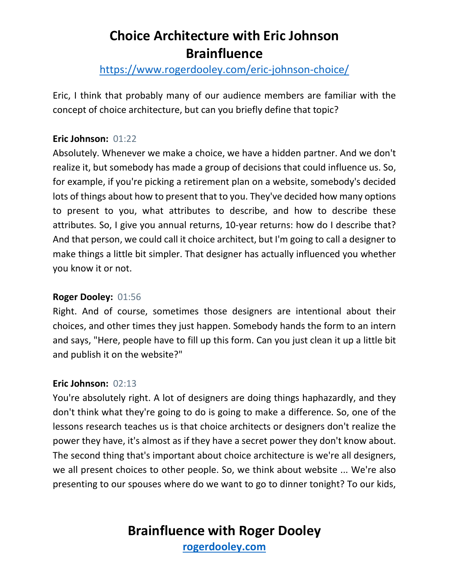### <https://www.rogerdooley.com/eric-johnson-choice/>

Eric, I think that probably many of our audience members are familiar with the concept of choice architecture, but can you briefly define that topic?

#### **Eric Johnson:** 01:22

Absolutely. Whenever we make a choice, we have a hidden partner. And we don't realize it, but somebody has made a group of decisions that could influence us. So, for example, if you're picking a retirement plan on a website, somebody's decided lots of things about how to present that to you. They've decided how many options to present to you, what attributes to describe, and how to describe these attributes. So, I give you annual returns, 10-year returns: how do I describe that? And that person, we could call it choice architect, but I'm going to call a designer to make things a little bit simpler. That designer has actually influenced you whether you know it or not.

#### **Roger Dooley:** 01:56

Right. And of course, sometimes those designers are intentional about their choices, and other times they just happen. Somebody hands the form to an intern and says, "Here, people have to fill up this form. Can you just clean it up a little bit and publish it on the website?"

#### **Eric Johnson:** 02:13

You're absolutely right. A lot of designers are doing things haphazardly, and they don't think what they're going to do is going to make a difference. So, one of the lessons research teaches us is that choice architects or designers don't realize the power they have, it's almost as if they have a secret power they don't know about. The second thing that's important about choice architecture is we're all designers, we all present choices to other people. So, we think about website ... We're also presenting to our spouses where do we want to go to dinner tonight? To our kids,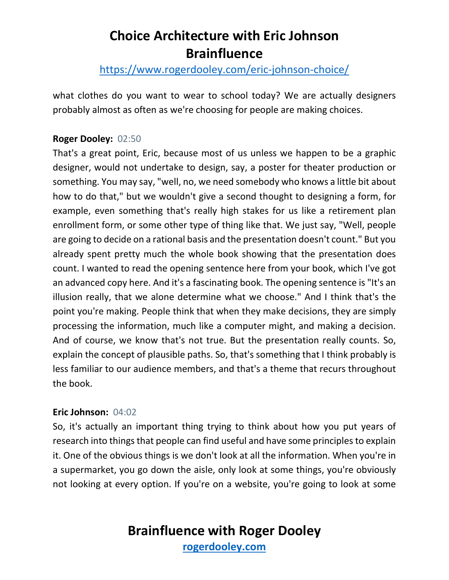### <https://www.rogerdooley.com/eric-johnson-choice/>

what clothes do you want to wear to school today? We are actually designers probably almost as often as we're choosing for people are making choices.

#### **Roger Dooley:** 02:50

That's a great point, Eric, because most of us unless we happen to be a graphic designer, would not undertake to design, say, a poster for theater production or something. You may say, "well, no, we need somebody who knows a little bit about how to do that," but we wouldn't give a second thought to designing a form, for example, even something that's really high stakes for us like a retirement plan enrollment form, or some other type of thing like that. We just say, "Well, people are going to decide on a rational basis and the presentation doesn't count." But you already spent pretty much the whole book showing that the presentation does count. I wanted to read the opening sentence here from your book, which I've got an advanced copy here. And it's a fascinating book. The opening sentence is "It's an illusion really, that we alone determine what we choose." And I think that's the point you're making. People think that when they make decisions, they are simply processing the information, much like a computer might, and making a decision. And of course, we know that's not true. But the presentation really counts. So, explain the concept of plausible paths. So, that's something that I think probably is less familiar to our audience members, and that's a theme that recurs throughout the book.

#### **Eric Johnson:** 04:02

So, it's actually an important thing trying to think about how you put years of research into things that people can find useful and have some principles to explain it. One of the obvious things is we don't look at all the information. When you're in a supermarket, you go down the aisle, only look at some things, you're obviously not looking at every option. If you're on a website, you're going to look at some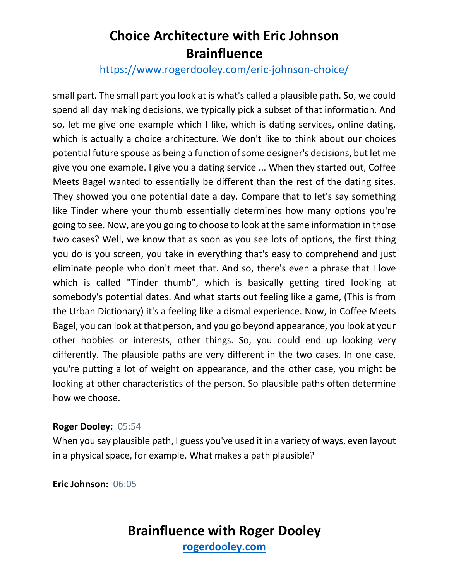### <https://www.rogerdooley.com/eric-johnson-choice/>

small part. The small part you look at is what's called a plausible path. So, we could spend all day making decisions, we typically pick a subset of that information. And so, let me give one example which I like, which is dating services, online dating, which is actually a choice architecture. We don't like to think about our choices potential future spouse as being a function of some designer's decisions, but let me give you one example. I give you a dating service ... When they started out, Coffee Meets Bagel wanted to essentially be different than the rest of the dating sites. They showed you one potential date a day. Compare that to let's say something like Tinder where your thumb essentially determines how many options you're going to see. Now, are you going to choose to look at the same information in those two cases? Well, we know that as soon as you see lots of options, the first thing you do is you screen, you take in everything that's easy to comprehend and just eliminate people who don't meet that. And so, there's even a phrase that I love which is called "Tinder thumb", which is basically getting tired looking at somebody's potential dates. And what starts out feeling like a game, (This is from the Urban Dictionary) it's a feeling like a dismal experience. Now, in Coffee Meets Bagel, you can look at that person, and you go beyond appearance, you look at your other hobbies or interests, other things. So, you could end up looking very differently. The plausible paths are very different in the two cases. In one case, you're putting a lot of weight on appearance, and the other case, you might be looking at other characteristics of the person. So plausible paths often determine how we choose.

#### **Roger Dooley:** 05:54

When you say plausible path, I guess you've used it in a variety of ways, even layout in a physical space, for example. What makes a path plausible?

**Eric Johnson:** 06:05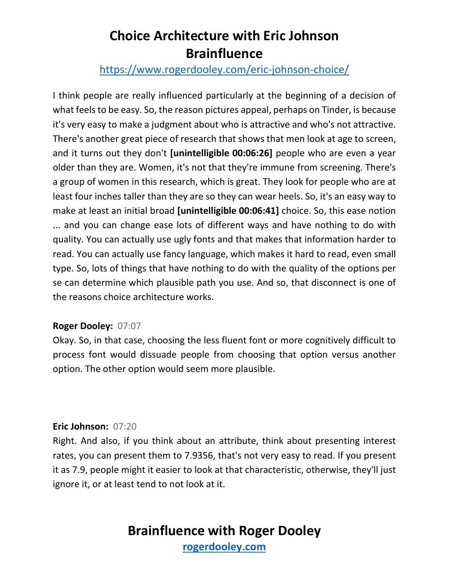### <https://www.rogerdooley.com/eric-johnson-choice/>

I think people are really influenced particularly at the beginning of a decision of what feels to be easy. So, the reason pictures appeal, perhaps on Tinder, is because it's very easy to make a judgment about who is attractive and who's not attractive. There's another great piece of research that shows that men look at age to screen, and it turns out they don't **[unintelligible 00:06:26]** people who are even a year older than they are. Women, it's not that they're immune from screening. There's a group of women in this research, which is great. They look for people who are at least four inches taller than they are so they can wear heels. So, it's an easy way to make at least an initial broad **[unintelligible 00:06:41]** choice. So, this ease notion ... and you can change ease lots of different ways and have nothing to do with quality. You can actually use ugly fonts and that makes that information harder to read. You can actually use fancy language, which makes it hard to read, even small type. So, lots of things that have nothing to do with the quality of the options per se can determine which plausible path you use. And so, that disconnect is one of the reasons choice architecture works.

#### **Roger Dooley:** 07:07

Okay. So, in that case, choosing the less fluent font or more cognitively difficult to process font would dissuade people from choosing that option versus another option. The other option would seem more plausible.

#### **Eric Johnson:** 07:20

Right. And also, if you think about an attribute, think about presenting interest rates, you can present them to 7.9356, that's not very easy to read. If you present it as 7.9, people might it easier to look at that characteristic, otherwise, they'll just ignore it, or at least tend to not look at it.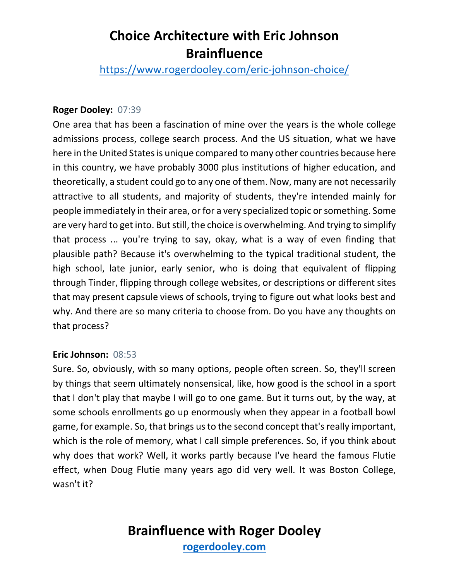<https://www.rogerdooley.com/eric-johnson-choice/>

#### **Roger Dooley:** 07:39

One area that has been a fascination of mine over the years is the whole college admissions process, college search process. And the US situation, what we have here in the United States is unique compared to many other countries because here in this country, we have probably 3000 plus institutions of higher education, and theoretically, a student could go to any one of them. Now, many are not necessarily attractive to all students, and majority of students, they're intended mainly for people immediately in their area, or for a very specialized topic or something. Some are very hard to get into. But still, the choice is overwhelming. And trying to simplify that process ... you're trying to say, okay, what is a way of even finding that plausible path? Because it's overwhelming to the typical traditional student, the high school, late junior, early senior, who is doing that equivalent of flipping through Tinder, flipping through college websites, or descriptions or different sites that may present capsule views of schools, trying to figure out what looks best and why. And there are so many criteria to choose from. Do you have any thoughts on that process?

#### **Eric Johnson:** 08:53

Sure. So, obviously, with so many options, people often screen. So, they'll screen by things that seem ultimately nonsensical, like, how good is the school in a sport that I don't play that maybe I will go to one game. But it turns out, by the way, at some schools enrollments go up enormously when they appear in a football bowl game, for example. So, that brings us to the second concept that's really important, which is the role of memory, what I call simple preferences. So, if you think about why does that work? Well, it works partly because I've heard the famous Flutie effect, when Doug Flutie many years ago did very well. It was Boston College, wasn't it?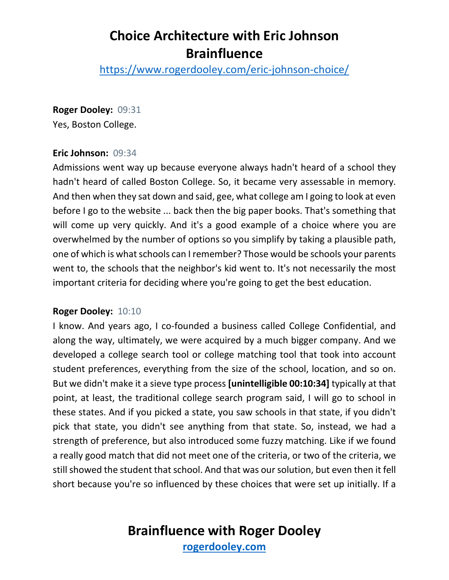<https://www.rogerdooley.com/eric-johnson-choice/>

#### **Roger Dooley:** 09:31

Yes, Boston College.

#### **Eric Johnson:** 09:34

Admissions went way up because everyone always hadn't heard of a school they hadn't heard of called Boston College. So, it became very assessable in memory. And then when they sat down and said, gee, what college am I going to look at even before I go to the website ... back then the big paper books. That's something that will come up very quickly. And it's a good example of a choice where you are overwhelmed by the number of options so you simplify by taking a plausible path, one of which is what schools can I remember? Those would be schools your parents went to, the schools that the neighbor's kid went to. It's not necessarily the most important criteria for deciding where you're going to get the best education.

#### **Roger Dooley:** 10:10

I know. And years ago, I co-founded a business called College Confidential, and along the way, ultimately, we were acquired by a much bigger company. And we developed a college search tool or college matching tool that took into account student preferences, everything from the size of the school, location, and so on. But we didn't make it a sieve type process **[unintelligible 00:10:34]** typically at that point, at least, the traditional college search program said, I will go to school in these states. And if you picked a state, you saw schools in that state, if you didn't pick that state, you didn't see anything from that state. So, instead, we had a strength of preference, but also introduced some fuzzy matching. Like if we found a really good match that did not meet one of the criteria, or two of the criteria, we still showed the student that school. And that was our solution, but even then it fell short because you're so influenced by these choices that were set up initially. If a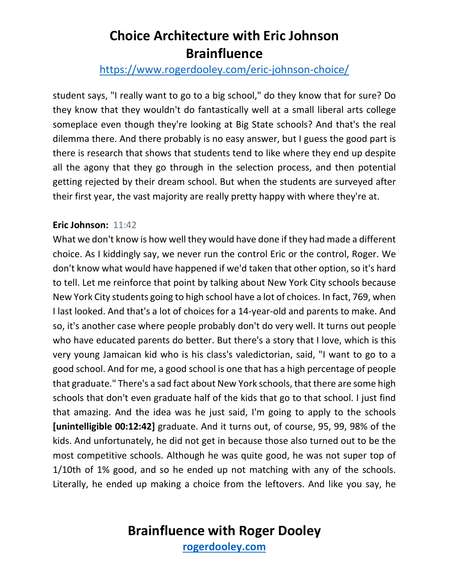### <https://www.rogerdooley.com/eric-johnson-choice/>

student says, "I really want to go to a big school," do they know that for sure? Do they know that they wouldn't do fantastically well at a small liberal arts college someplace even though they're looking at Big State schools? And that's the real dilemma there. And there probably is no easy answer, but I guess the good part is there is research that shows that students tend to like where they end up despite all the agony that they go through in the selection process, and then potential getting rejected by their dream school. But when the students are surveyed after their first year, the vast majority are really pretty happy with where they're at.

#### **Eric Johnson:** 11:42

What we don't know is how well they would have done if they had made a different choice. As I kiddingly say, we never run the control Eric or the control, Roger. We don't know what would have happened if we'd taken that other option, so it's hard to tell. Let me reinforce that point by talking about New York City schools because New York City students going to high school have a lot of choices. In fact, 769, when I last looked. And that's a lot of choices for a 14-year-old and parents to make. And so, it's another case where people probably don't do very well. It turns out people who have educated parents do better. But there's a story that I love, which is this very young Jamaican kid who is his class's valedictorian, said, "I want to go to a good school. And for me, a good school is one that has a high percentage of people that graduate." There's a sad fact about New York schools, that there are some high schools that don't even graduate half of the kids that go to that school. I just find that amazing. And the idea was he just said, I'm going to apply to the schools **[unintelligible 00:12:42]** graduate. And it turns out, of course, 95, 99, 98% of the kids. And unfortunately, he did not get in because those also turned out to be the most competitive schools. Although he was quite good, he was not super top of 1/10th of 1% good, and so he ended up not matching with any of the schools. Literally, he ended up making a choice from the leftovers. And like you say, he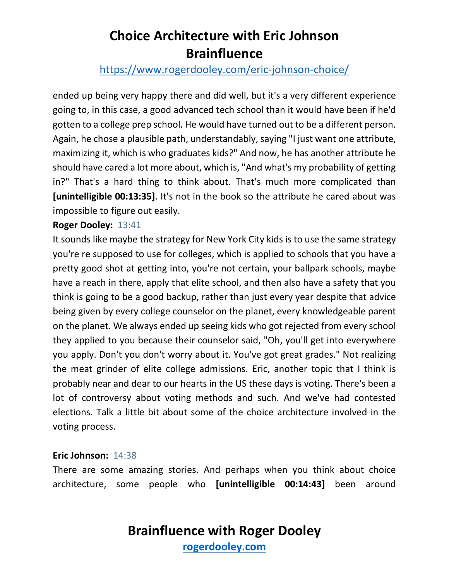### <https://www.rogerdooley.com/eric-johnson-choice/>

ended up being very happy there and did well, but it's a very different experience going to, in this case, a good advanced tech school than it would have been if he'd gotten to a college prep school. He would have turned out to be a different person. Again, he chose a plausible path, understandably, saying "I just want one attribute, maximizing it, which is who graduates kids?" And now, he has another attribute he should have cared a lot more about, which is, "And what's my probability of getting in?" That's a hard thing to think about. That's much more complicated than **[unintelligible 00:13:35]**. It's not in the book so the attribute he cared about was impossible to figure out easily.

#### **Roger Dooley:** 13:41

It sounds like maybe the strategy for New York City kids is to use the same strategy you're re supposed to use for colleges, which is applied to schools that you have a pretty good shot at getting into, you're not certain, your ballpark schools, maybe have a reach in there, apply that elite school, and then also have a safety that you think is going to be a good backup, rather than just every year despite that advice being given by every college counselor on the planet, every knowledgeable parent on the planet. We always ended up seeing kids who got rejected from every school they applied to you because their counselor said, "Oh, you'll get into everywhere you apply. Don't you don't worry about it. You've got great grades." Not realizing the meat grinder of elite college admissions. Eric, another topic that I think is probably near and dear to our hearts in the US these days is voting. There's been a lot of controversy about voting methods and such. And we've had contested elections. Talk a little bit about some of the choice architecture involved in the voting process.

#### **Eric Johnson:** 14:38

There are some amazing stories. And perhaps when you think about choice architecture, some people who **[unintelligible 00:14:43]** been around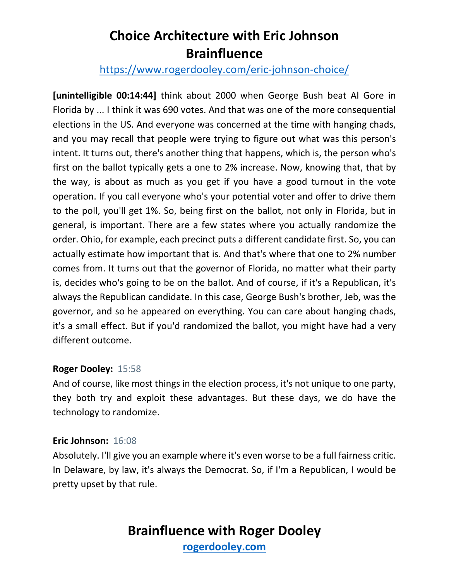### <https://www.rogerdooley.com/eric-johnson-choice/>

**[unintelligible 00:14:44]** think about 2000 when George Bush beat Al Gore in Florida by ... I think it was 690 votes. And that was one of the more consequential elections in the US. And everyone was concerned at the time with hanging chads, and you may recall that people were trying to figure out what was this person's intent. It turns out, there's another thing that happens, which is, the person who's first on the ballot typically gets a one to 2% increase. Now, knowing that, that by the way, is about as much as you get if you have a good turnout in the vote operation. If you call everyone who's your potential voter and offer to drive them to the poll, you'll get 1%. So, being first on the ballot, not only in Florida, but in general, is important. There are a few states where you actually randomize the order. Ohio, for example, each precinct puts a different candidate first. So, you can actually estimate how important that is. And that's where that one to 2% number comes from. It turns out that the governor of Florida, no matter what their party is, decides who's going to be on the ballot. And of course, if it's a Republican, it's always the Republican candidate. In this case, George Bush's brother, Jeb, was the governor, and so he appeared on everything. You can care about hanging chads, it's a small effect. But if you'd randomized the ballot, you might have had a very different outcome.

#### **Roger Dooley:** 15:58

And of course, like most things in the election process, it's not unique to one party, they both try and exploit these advantages. But these days, we do have the technology to randomize.

#### **Eric Johnson:** 16:08

Absolutely. I'll give you an example where it's even worse to be a full fairness critic. In Delaware, by law, it's always the Democrat. So, if I'm a Republican, I would be pretty upset by that rule.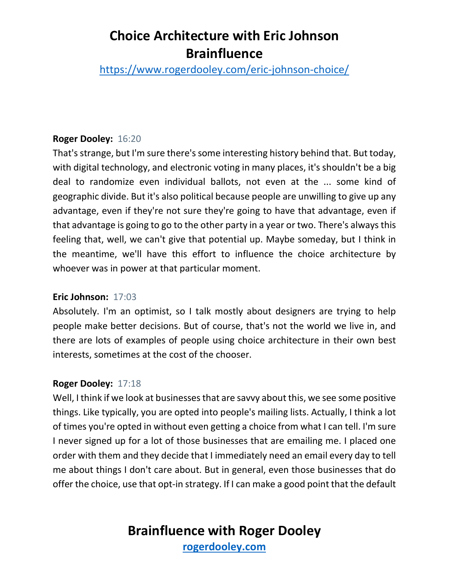<https://www.rogerdooley.com/eric-johnson-choice/>

#### **Roger Dooley:** 16:20

That's strange, but I'm sure there's some interesting history behind that. But today, with digital technology, and electronic voting in many places, it's shouldn't be a big deal to randomize even individual ballots, not even at the ... some kind of geographic divide. But it's also political because people are unwilling to give up any advantage, even if they're not sure they're going to have that advantage, even if that advantage is going to go to the other party in a year or two. There's always this feeling that, well, we can't give that potential up. Maybe someday, but I think in the meantime, we'll have this effort to influence the choice architecture by whoever was in power at that particular moment.

#### **Eric Johnson:** 17:03

Absolutely. I'm an optimist, so I talk mostly about designers are trying to help people make better decisions. But of course, that's not the world we live in, and there are lots of examples of people using choice architecture in their own best interests, sometimes at the cost of the chooser.

#### **Roger Dooley:** 17:18

Well, I think if we look at businesses that are savvy about this, we see some positive things. Like typically, you are opted into people's mailing lists. Actually, I think a lot of times you're opted in without even getting a choice from what I can tell. I'm sure I never signed up for a lot of those businesses that are emailing me. I placed one order with them and they decide that I immediately need an email every day to tell me about things I don't care about. But in general, even those businesses that do offer the choice, use that opt-in strategy. If I can make a good point that the default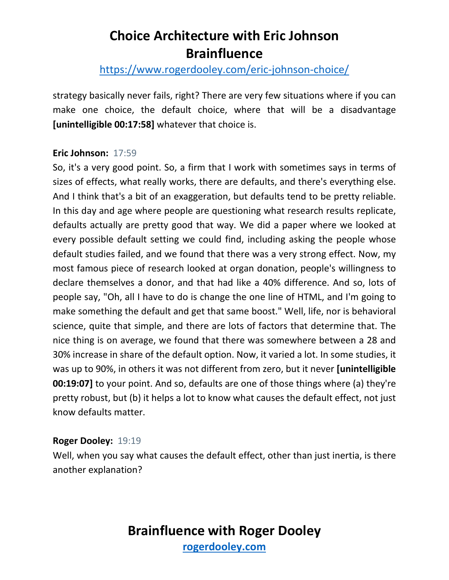### <https://www.rogerdooley.com/eric-johnson-choice/>

strategy basically never fails, right? There are very few situations where if you can make one choice, the default choice, where that will be a disadvantage **[unintelligible 00:17:58]** whatever that choice is.

#### **Eric Johnson:** 17:59

So, it's a very good point. So, a firm that I work with sometimes says in terms of sizes of effects, what really works, there are defaults, and there's everything else. And I think that's a bit of an exaggeration, but defaults tend to be pretty reliable. In this day and age where people are questioning what research results replicate, defaults actually are pretty good that way. We did a paper where we looked at every possible default setting we could find, including asking the people whose default studies failed, and we found that there was a very strong effect. Now, my most famous piece of research looked at organ donation, people's willingness to declare themselves a donor, and that had like a 40% difference. And so, lots of people say, "Oh, all I have to do is change the one line of HTML, and I'm going to make something the default and get that same boost." Well, life, nor is behavioral science, quite that simple, and there are lots of factors that determine that. The nice thing is on average, we found that there was somewhere between a 28 and 30% increase in share of the default option. Now, it varied a lot. In some studies, it was up to 90%, in others it was not different from zero, but it never **[unintelligible 00:19:07]** to your point. And so, defaults are one of those things where (a) they're pretty robust, but (b) it helps a lot to know what causes the default effect, not just know defaults matter.

#### **Roger Dooley:** 19:19

Well, when you say what causes the default effect, other than just inertia, is there another explanation?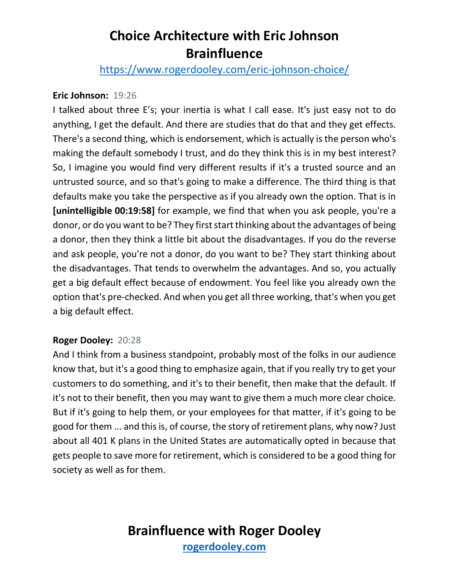<https://www.rogerdooley.com/eric-johnson-choice/>

#### **Eric Johnson:** 19:26

I talked about three E's; your inertia is what I call ease. It's just easy not to do anything, I get the default. And there are studies that do that and they get effects. There's a second thing, which is endorsement, which is actually is the person who's making the default somebody I trust, and do they think this is in my best interest? So, I imagine you would find very different results if it's a trusted source and an untrusted source, and so that's going to make a difference. The third thing is that defaults make you take the perspective as if you already own the option. That is in **[unintelligible 00:19:58]** for example, we find that when you ask people, you're a donor, or do you want to be? They first start thinking about the advantages of being a donor, then they think a little bit about the disadvantages. If you do the reverse and ask people, you're not a donor, do you want to be? They start thinking about the disadvantages. That tends to overwhelm the advantages. And so, you actually get a big default effect because of endowment. You feel like you already own the option that's pre-checked. And when you get all three working, that's when you get a big default effect.

#### **Roger Dooley:** 20:28

And I think from a business standpoint, probably most of the folks in our audience know that, but it's a good thing to emphasize again, that if you really try to get your customers to do something, and it's to their benefit, then make that the default. If it's not to their benefit, then you may want to give them a much more clear choice. But if it's going to help them, or your employees for that matter, if it's going to be good for them ... and this is, of course, the story of retirement plans, why now? Just about all 401 K plans in the United States are automatically opted in because that gets people to save more for retirement, which is considered to be a good thing for society as well as for them.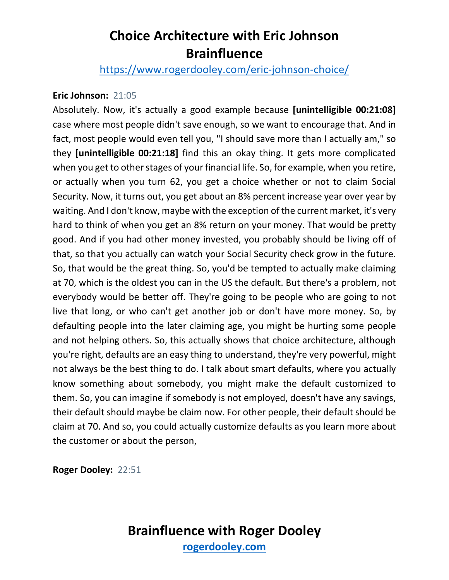<https://www.rogerdooley.com/eric-johnson-choice/>

#### **Eric Johnson:** 21:05

Absolutely. Now, it's actually a good example because **[unintelligible 00:21:08]** case where most people didn't save enough, so we want to encourage that. And in fact, most people would even tell you, "I should save more than I actually am," so they **[unintelligible 00:21:18]** find this an okay thing. It gets more complicated when you get to other stages of your financial life. So, for example, when you retire, or actually when you turn 62, you get a choice whether or not to claim Social Security. Now, it turns out, you get about an 8% percent increase year over year by waiting. And I don't know, maybe with the exception of the current market, it's very hard to think of when you get an 8% return on your money. That would be pretty good. And if you had other money invested, you probably should be living off of that, so that you actually can watch your Social Security check grow in the future. So, that would be the great thing. So, you'd be tempted to actually make claiming at 70, which is the oldest you can in the US the default. But there's a problem, not everybody would be better off. They're going to be people who are going to not live that long, or who can't get another job or don't have more money. So, by defaulting people into the later claiming age, you might be hurting some people and not helping others. So, this actually shows that choice architecture, although you're right, defaults are an easy thing to understand, they're very powerful, might not always be the best thing to do. I talk about smart defaults, where you actually know something about somebody, you might make the default customized to them. So, you can imagine if somebody is not employed, doesn't have any savings, their default should maybe be claim now. For other people, their default should be claim at 70. And so, you could actually customize defaults as you learn more about the customer or about the person,

**Roger Dooley:** 22:51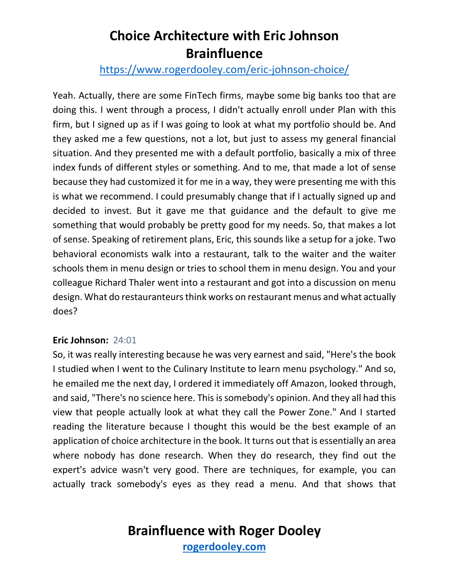### <https://www.rogerdooley.com/eric-johnson-choice/>

Yeah. Actually, there are some FinTech firms, maybe some big banks too that are doing this. I went through a process, I didn't actually enroll under Plan with this firm, but I signed up as if I was going to look at what my portfolio should be. And they asked me a few questions, not a lot, but just to assess my general financial situation. And they presented me with a default portfolio, basically a mix of three index funds of different styles or something. And to me, that made a lot of sense because they had customized it for me in a way, they were presenting me with this is what we recommend. I could presumably change that if I actually signed up and decided to invest. But it gave me that guidance and the default to give me something that would probably be pretty good for my needs. So, that makes a lot of sense. Speaking of retirement plans, Eric, this sounds like a setup for a joke. Two behavioral economists walk into a restaurant, talk to the waiter and the waiter schools them in menu design or tries to school them in menu design. You and your colleague Richard Thaler went into a restaurant and got into a discussion on menu design. What do restauranteurs think works on restaurant menus and what actually does?

#### **Eric Johnson:** 24:01

So, it was really interesting because he was very earnest and said, "Here's the book I studied when I went to the Culinary Institute to learn menu psychology." And so, he emailed me the next day, I ordered it immediately off Amazon, looked through, and said, "There's no science here. This is somebody's opinion. And they all had this view that people actually look at what they call the Power Zone." And I started reading the literature because I thought this would be the best example of an application of choice architecture in the book. It turns out that is essentially an area where nobody has done research. When they do research, they find out the expert's advice wasn't very good. There are techniques, for example, you can actually track somebody's eyes as they read a menu. And that shows that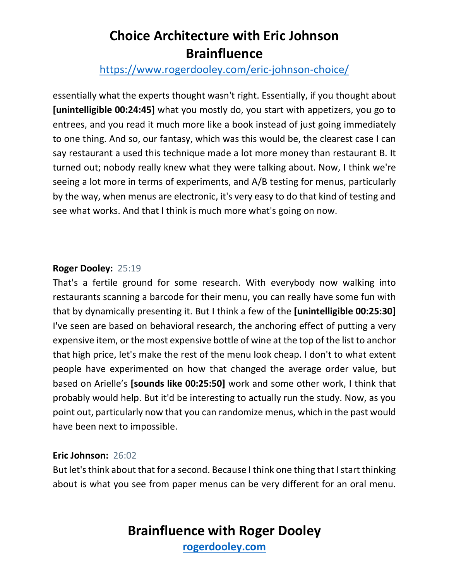### <https://www.rogerdooley.com/eric-johnson-choice/>

essentially what the experts thought wasn't right. Essentially, if you thought about **[unintelligible 00:24:45]** what you mostly do, you start with appetizers, you go to entrees, and you read it much more like a book instead of just going immediately to one thing. And so, our fantasy, which was this would be, the clearest case I can say restaurant a used this technique made a lot more money than restaurant B. It turned out; nobody really knew what they were talking about. Now, I think we're seeing a lot more in terms of experiments, and A/B testing for menus, particularly by the way, when menus are electronic, it's very easy to do that kind of testing and see what works. And that I think is much more what's going on now.

#### **Roger Dooley:** 25:19

That's a fertile ground for some research. With everybody now walking into restaurants scanning a barcode for their menu, you can really have some fun with that by dynamically presenting it. But I think a few of the **[unintelligible 00:25:30]** I've seen are based on behavioral research, the anchoring effect of putting a very expensive item, or the most expensive bottle of wine at the top of the list to anchor that high price, let's make the rest of the menu look cheap. I don't to what extent people have experimented on how that changed the average order value, but based on Arielle's **[sounds like 00:25:50]** work and some other work, I think that probably would help. But it'd be interesting to actually run the study. Now, as you point out, particularly now that you can randomize menus, which in the past would have been next to impossible.

#### **Eric Johnson:** 26:02

But let's think about that for a second. Because I think one thing that I start thinking about is what you see from paper menus can be very different for an oral menu.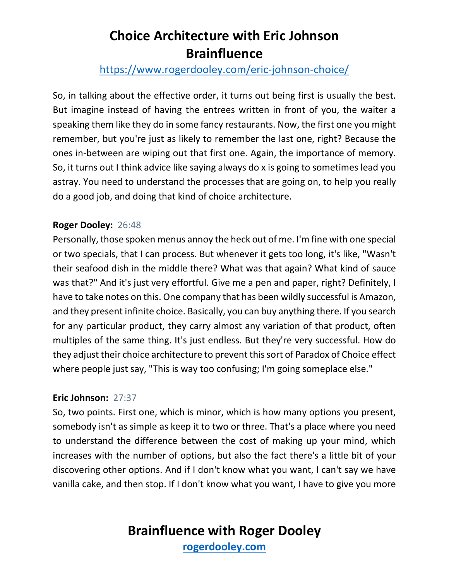### <https://www.rogerdooley.com/eric-johnson-choice/>

So, in talking about the effective order, it turns out being first is usually the best. But imagine instead of having the entrees written in front of you, the waiter a speaking them like they do in some fancy restaurants. Now, the first one you might remember, but you're just as likely to remember the last one, right? Because the ones in-between are wiping out that first one. Again, the importance of memory. So, it turns out I think advice like saying always do x is going to sometimes lead you astray. You need to understand the processes that are going on, to help you really do a good job, and doing that kind of choice architecture.

#### **Roger Dooley:** 26:48

Personally, those spoken menus annoy the heck out of me. I'm fine with one special or two specials, that I can process. But whenever it gets too long, it's like, "Wasn't their seafood dish in the middle there? What was that again? What kind of sauce was that?" And it's just very effortful. Give me a pen and paper, right? Definitely, I have to take notes on this. One company that has been wildly successful is Amazon, and they present infinite choice. Basically, you can buy anything there. If you search for any particular product, they carry almost any variation of that product, often multiples of the same thing. It's just endless. But they're very successful. How do they adjust their choice architecture to prevent this sort of Paradox of Choice effect where people just say, "This is way too confusing; I'm going someplace else."

#### **Eric Johnson:** 27:37

So, two points. First one, which is minor, which is how many options you present, somebody isn't as simple as keep it to two or three. That's a place where you need to understand the difference between the cost of making up your mind, which increases with the number of options, but also the fact there's a little bit of your discovering other options. And if I don't know what you want, I can't say we have vanilla cake, and then stop. If I don't know what you want, I have to give you more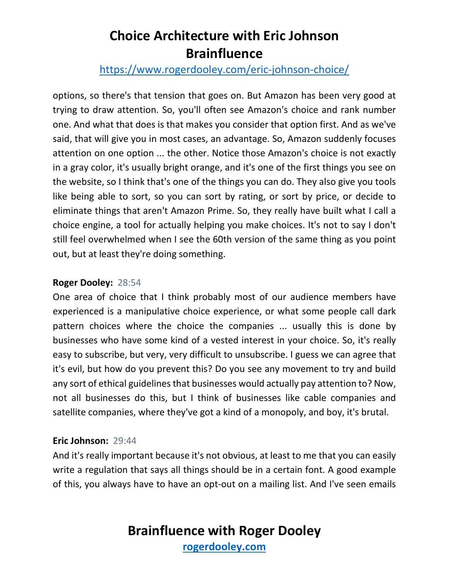### <https://www.rogerdooley.com/eric-johnson-choice/>

options, so there's that tension that goes on. But Amazon has been very good at trying to draw attention. So, you'll often see Amazon's choice and rank number one. And what that does is that makes you consider that option first. And as we've said, that will give you in most cases, an advantage. So, Amazon suddenly focuses attention on one option ... the other. Notice those Amazon's choice is not exactly in a gray color, it's usually bright orange, and it's one of the first things you see on the website, so I think that's one of the things you can do. They also give you tools like being able to sort, so you can sort by rating, or sort by price, or decide to eliminate things that aren't Amazon Prime. So, they really have built what I call a choice engine, a tool for actually helping you make choices. It's not to say I don't still feel overwhelmed when I see the 60th version of the same thing as you point out, but at least they're doing something.

#### **Roger Dooley:** 28:54

One area of choice that I think probably most of our audience members have experienced is a manipulative choice experience, or what some people call dark pattern choices where the choice the companies ... usually this is done by businesses who have some kind of a vested interest in your choice. So, it's really easy to subscribe, but very, very difficult to unsubscribe. I guess we can agree that it's evil, but how do you prevent this? Do you see any movement to try and build any sort of ethical guidelines that businesses would actually pay attention to? Now, not all businesses do this, but I think of businesses like cable companies and satellite companies, where they've got a kind of a monopoly, and boy, it's brutal.

#### **Eric Johnson:** 29:44

And it's really important because it's not obvious, at least to me that you can easily write a regulation that says all things should be in a certain font. A good example of this, you always have to have an opt-out on a mailing list. And I've seen emails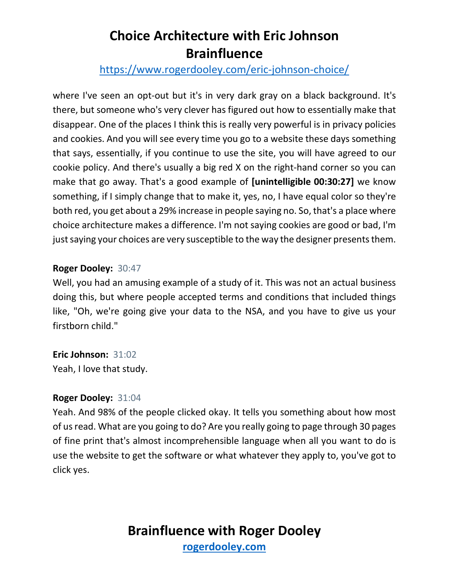### <https://www.rogerdooley.com/eric-johnson-choice/>

where I've seen an opt-out but it's in very dark gray on a black background. It's there, but someone who's very clever has figured out how to essentially make that disappear. One of the places I think this is really very powerful is in privacy policies and cookies. And you will see every time you go to a website these days something that says, essentially, if you continue to use the site, you will have agreed to our cookie policy. And there's usually a big red X on the right-hand corner so you can make that go away. That's a good example of **[unintelligible 00:30:27]** we know something, if I simply change that to make it, yes, no, I have equal color so they're both red, you get about a 29% increase in people saying no. So, that's a place where choice architecture makes a difference. I'm not saying cookies are good or bad, I'm just saying your choices are very susceptible to the way the designer presents them.

#### **Roger Dooley:** 30:47

Well, you had an amusing example of a study of it. This was not an actual business doing this, but where people accepted terms and conditions that included things like, "Oh, we're going give your data to the NSA, and you have to give us your firstborn child."

**Eric Johnson:** 31:02 Yeah, I love that study.

#### **Roger Dooley:** 31:04

Yeah. And 98% of the people clicked okay. It tells you something about how most of us read. What are you going to do? Are you really going to page through 30 pages of fine print that's almost incomprehensible language when all you want to do is use the website to get the software or what whatever they apply to, you've got to click yes.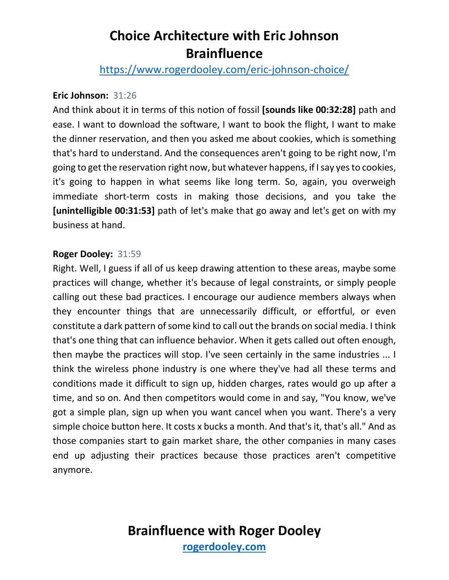<https://www.rogerdooley.com/eric-johnson-choice/>

#### **Eric Johnson:** 31:26

And think about it in terms of this notion of fossil **[sounds like 00:32:28]** path and ease. I want to download the software, I want to book the flight, I want to make the dinner reservation, and then you asked me about cookies, which is something that's hard to understand. And the consequences aren't going to be right now, I'm going to get the reservation right now, but whatever happens, if I say yes to cookies, it's going to happen in what seems like long term. So, again, you overweigh immediate short-term costs in making those decisions, and you take the **[unintelligible 00:31:53]** path of let's make that go away and let's get on with my business at hand.

#### **Roger Dooley:** 31:59

Right. Well, I guess if all of us keep drawing attention to these areas, maybe some practices will change, whether it's because of legal constraints, or simply people calling out these bad practices. I encourage our audience members always when they encounter things that are unnecessarily difficult, or effortful, or even constitute a dark pattern of some kind to call out the brands on social media. I think that's one thing that can influence behavior. When it gets called out often enough, then maybe the practices will stop. I've seen certainly in the same industries ... I think the wireless phone industry is one where they've had all these terms and conditions made it difficult to sign up, hidden charges, rates would go up after a time, and so on. And then competitors would come in and say, "You know, we've got a simple plan, sign up when you want cancel when you want. There's a very simple choice button here. It costs x bucks a month. And that's it, that's all." And as those companies start to gain market share, the other companies in many cases end up adjusting their practices because those practices aren't competitive anymore.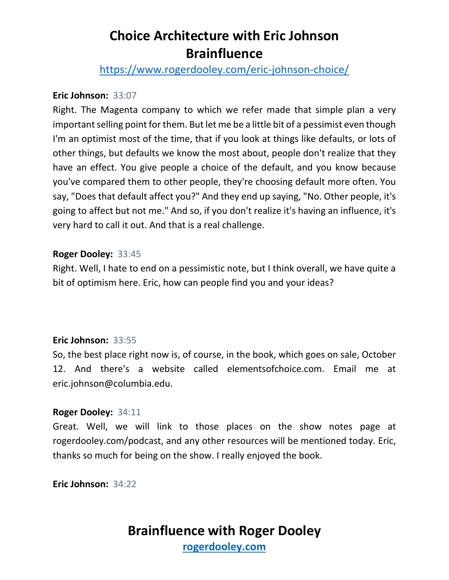<https://www.rogerdooley.com/eric-johnson-choice/>

#### **Eric Johnson:** 33:07

Right. The Magenta company to which we refer made that simple plan a very important selling point for them. But let me be a little bit of a pessimist even though I'm an optimist most of the time, that if you look at things like defaults, or lots of other things, but defaults we know the most about, people don't realize that they have an effect. You give people a choice of the default, and you know because you've compared them to other people, they're choosing default more often. You say, "Does that default affect you?" And they end up saying, "No. Other people, it's going to affect but not me." And so, if you don't realize it's having an influence, it's very hard to call it out. And that is a real challenge.

#### **Roger Dooley:** 33:45

Right. Well, I hate to end on a pessimistic note, but I think overall, we have quite a bit of optimism here. Eric, how can people find you and your ideas?

#### **Eric Johnson:** 33:55

So, the best place right now is, of course, in the book, which goes on sale, October 12. And there's a website called elementsofchoice.com. Email me at eric.johnson@columbia.edu.

#### **Roger Dooley:** 34:11

Great. Well, we will link to those places on the show notes page at rogerdooley.com/podcast, and any other resources will be mentioned today. Eric, thanks so much for being on the show. I really enjoyed the book.

**Eric Johnson:** 34:22